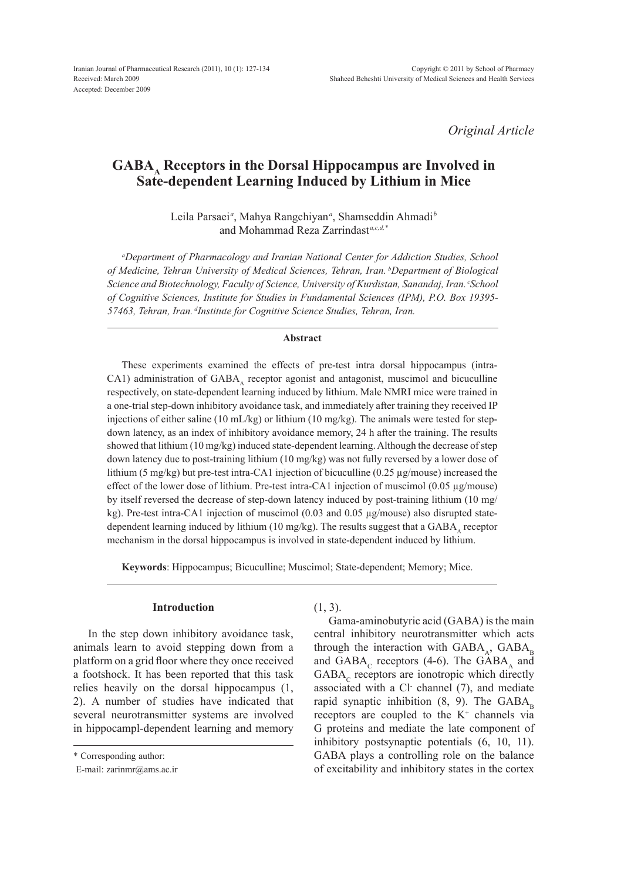*Original Article*

# GABA<sub>A</sub> Receptors in the Dorsal Hippocampus are Involved in **Sate-dependent Learning Induced by Lithium in Mice**

Leila Parsaei*<sup>a</sup>* , Mahya Rangchiyan*<sup>a</sup>* , Shamseddin Ahmadi*<sup>b</sup>* and Mohammad Reza Zarrindast<sup>a,c,d,\*</sup>

*a Department of Pharmacology and Iranian National Center for Addiction Studies, School of Medicine, Tehran University of Medical Sciences, Tehran, Iran. bDepartment of Biological Science and Biotechnology, Faculty of Science, University of Kurdistan, Sanandaj, Iran. cSchool of Cognitive Sciences, Institute for Studies in Fundamental Sciences (IPM), P.O. Box 19395- 57463, Tehran, Iran. dInstitute for Cognitive Science Studies, Tehran, Iran.*

## **Abstract**

These experiments examined the effects of pre-test intra dorsal hippocampus (intra-CA1) administration of  $GABA_A$  receptor agonist and antagonist, muscimol and bicuculline respectively, on state-dependent learning induced by lithium. Male NMRI mice were trained in a one-trial step-down inhibitory avoidance task, and immediately after training they received IP injections of either saline (10 mL/kg) or lithium (10 mg/kg). The animals were tested for stepdown latency, as an index of inhibitory avoidance memory, 24 h after the training. The results showed that lithium (10 mg/kg) induced state-dependent learning. Although the decrease of step down latency due to post-training lithium (10 mg/kg) was not fully reversed by a lower dose of lithium (5 mg/kg) but pre-test intra-CA1 injection of bicuculline (0.25  $\mu$ g/mouse) increased the effect of the lower dose of lithium. Pre-test intra-CA1 injection of muscimol (0.05 µg/mouse) by itself reversed the decrease of step-down latency induced by post-training lithium (10 mg/ kg). Pre-test intra-CA1 injection of muscimol (0.03 and 0.05 µg/mouse) also disrupted statedependent learning induced by lithium (10 mg/kg). The results suggest that a GABA, receptor mechanism in the dorsal hippocampus is involved in state-dependent induced by lithium.

**Keywords**: Hippocampus; Bicuculline; Muscimol; State-dependent; Memory; Mice.

#### **Introduction**

In the step down inhibitory avoidance task, animals learn to avoid stepping down from a platform on a grid floor where they once received a footshock. It has been reported that this task relies heavily on the dorsal hippocampus (1, 2). A number of studies have indicated that several neurotransmitter systems are involved in hippocampl-dependent learning and memory

 $(1, 3)$ .

Gama-aminobutyric acid (GABA) is the main central inhibitory neurotransmitter which acts through the interaction with  $GABA_A$ ,  $GABA_B$ and GABA<sub>c</sub> receptors (4-6). The GABA<sub>a</sub> and  $GABA<sub>c</sub>$  receptors are ionotropic which directly associated with a Cl channel (7), and mediate rapid synaptic inhibition  $(8, 9)$ . The GABA<sub>B</sub> receptors are coupled to the  $K^+$  channels via G proteins and mediate the late component of inhibitory postsynaptic potentials (6, 10, 11). GABA plays a controlling role on the balance of excitability and inhibitory states in the cortex

<sup>\*</sup> Corresponding author:

E-mail: zarinmr@ams.ac.ir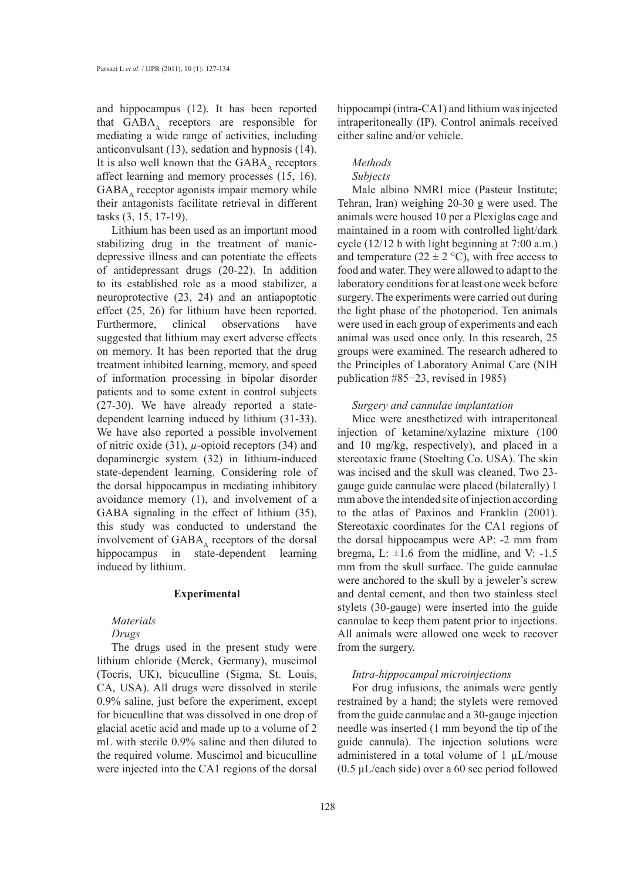and hippocampus (12). It has been reported that  $GABA_A$  receptors are responsible for mediating a wide range of activities, including anticonvulsant (13), sedation and hypnosis (14). It is also well known that the  $GABA<sub>A</sub>$  receptors affect learning and memory processes (15, 16).  $GABA<sub>A</sub>$  receptor agonists impair memory while their antagonists facilitate retrieval in different tasks (3, 15, 17-19).

Lithium has been used as an important mood stabilizing drug in the treatment of manicdepressive illness and can potentiate the effects of antidepressant drugs (20-22). In addition to its established role as a mood stabilizer, a neuroprotective (23, 24) and an antiapoptotic effect (25, 26) for lithium have been reported. Furthermore, clinical observations have suggested that lithium may exert adverse effects on memory. It has been reported that the drug treatment inhibited learning, memory, and speed of information processing in bipolar disorder patients and to some extent in control subjects (27-30). We have already reported a statedependent learning induced by lithium (31-33). We have also reported a possible involvement of nitric oxide (31),  $\mu$ -opioid receptors (34) and dopaminergic system (32) in lithium-induced state-dependent learning. Considering role of the dorsal hippocampus in mediating inhibitory avoidance memory (1), and involvement of a GABA signaling in the effect of lithium (35), this study was conducted to understand the involvement of  $GABA_A$  receptors of the dorsal<br>hippocampus in state-dependent learning state-dependent learning induced by lithium.

#### **Experimental**

## *Materials*

#### *Drugs*

The drugs used in the present study were lithium chloride (Merck, Germany), muscimol (Tocris, UK), bicuculline (Sigma, St. Louis, CA, USA). All drugs were dissolved in sterile 0.9% saline, just before the experiment, except for bicuculline that was dissolved in one drop of glacial acetic acid and made up to a volume of 2 mL with sterile 0.9% saline and then diluted to the required volume. Muscimol and bicuculline were injected into the CA1 regions of the dorsal

hippocampi (intra-CA1) and lithium was injected intraperitoneally (IP). Control animals received either saline and/or vehicle.

# *Methods*

#### *Subjects*

Male albino NMRI mice (Pasteur Institute; Tehran, Iran) weighing 20-30 g were used. The animals were housed 10 per a Plexiglas cage and maintained in a room with controlled light/dark cycle (12/12 h with light beginning at 7:00 a.m.) and temperature ( $22 \pm 2$  °C), with free access to food and water. They were allowed to adapt to the laboratory conditions for at least one week before surgery. The experiments were carried out during the light phase of the photoperiod. Ten animals were used in each group of experiments and each animal was used once only. In this research, 25 groups were examined. The research adhered to the Principles of Laboratory Animal Care (NIH publication #85−23, revised in 1985)

## *Surgery and cannulae implantation*

Mice were anesthetized with intraperitoneal injection of ketamine/xylazine mixture (100 and 10 mg/kg, respectively), and placed in a stereotaxic frame (Stoelting Co. USA). The skin was incised and the skull was cleaned. Two 23 gauge guide cannulae were placed (bilaterally) 1 mm above the intended site of injection according to the atlas of Paxinos and Franklin (2001). Stereotaxic coordinates for the CA1 regions of the dorsal hippocampus were AP: -2 mm from bregma, L:  $\pm 1.6$  from the midline, and V: -1.5 mm from the skull surface. The guide cannulae were anchored to the skull by a jeweler's screw and dental cement, and then two stainless steel stylets (30-gauge) were inserted into the guide cannulae to keep them patent prior to injections. All animals were allowed one week to recover from the surgery.

#### *Intra-hippocampal microinjections*

For drug infusions, the animals were gently restrained by a hand; the stylets were removed from the guide cannulae and a 30-gauge injection needle was inserted (1 mm beyond the tip of the guide cannula). The injection solutions were administered in a total volume of 1 µL/mouse (0.5 µL/each side) over a 60 sec period followed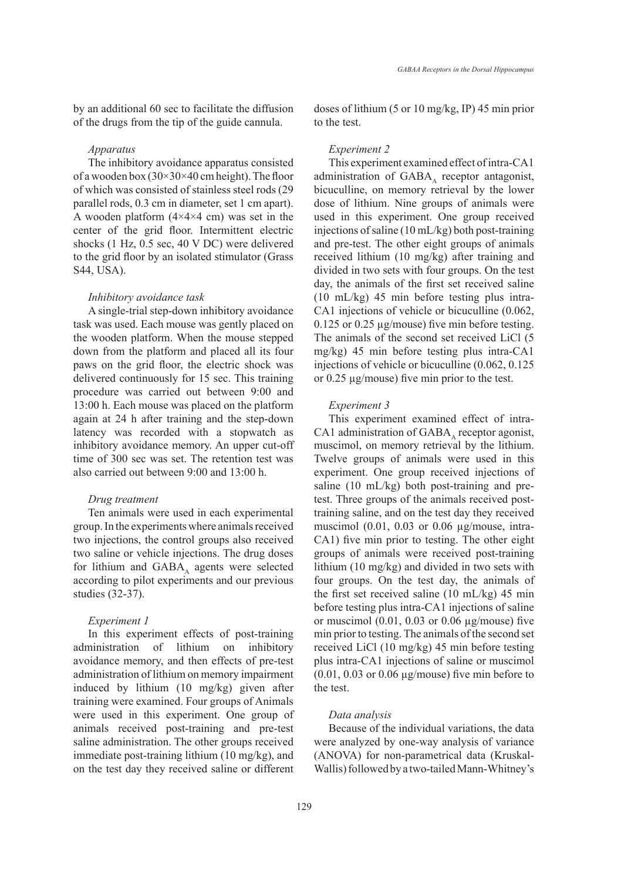by an additional 60 sec to facilitate the diffusion of the drugs from the tip of the guide cannula.

#### *Apparatus*

The inhibitory avoidance apparatus consisted of a wooden box  $(30\times30\times40)$  cm height). The floor of which was consisted of stainless steel rods (29 parallel rods, 0.3 cm in diameter, set 1 cm apart). A wooden platform  $(4\times4\times4$  cm) was set in the center of the grid floor. Intermittent electric shocks (1 Hz, 0.5 sec, 40 V DC) were delivered to the grid floor by an isolated stimulator (Grass S44, USA).

#### *Inhibitory avoidance task*

A single-trial step-down inhibitory avoidance task was used. Each mouse was gently placed on the wooden platform. When the mouse stepped down from the platform and placed all its four paws on the grid floor, the electric shock was delivered continuously for 15 sec. This training procedure was carried out between 9:00 and 13:00 h. Each mouse was placed on the platform again at 24 h after training and the step-down latency was recorded with a stopwatch as inhibitory avoidance memory. An upper cut-off time of 300 sec was set. The retention test was also carried out between 9:00 and 13:00 h.

## *Drug treatment*

Ten animals were used in each experimental group. In the experiments where animals received two injections, the control groups also received two saline or vehicle injections. The drug doses for lithium and  $GABA_A$  agents were selected according to pilot experiments and our previous studies (32-37).

## *Experiment 1*

In this experiment effects of post-training administration of lithium on inhibitory avoidance memory, and then effects of pre-test administration of lithium on memory impairment induced by lithium (10 mg/kg) given after training were examined. Four groups of Animals were used in this experiment. One group of animals received post-training and pre-test saline administration. The other groups received immediate post-training lithium (10 mg/kg), and on the test day they received saline or different doses of lithium (5 or 10 mg/kg, IP) 45 min prior to the test.

#### *Experiment 2*

This experiment examined effect of intra-CA1 administration of  $GABA_A$  receptor antagonist, bicuculline, on memory retrieval by the lower dose of lithium. Nine groups of animals were used in this experiment. One group received injections of saline (10 mL/kg) both post-training and pre-test. The other eight groups of animals received lithium (10 mg/kg) after training and divided in two sets with four groups. On the test day, the animals of the first set received saline (10 mL/kg) 45 min before testing plus intra-CA1 injections of vehicle or bicuculline (0.062, 0.125 or 0.25 µg/mouse) five min before testing. The animals of the second set received LiCl (5 mg/kg) 45 min before testing plus intra-CA1 injections of vehicle or bicuculline (0.062, 0.125 or 0.25 µg/mouse) five min prior to the test.

#### *Experiment 3*

This experiment examined effect of intra-CA1 administration of GABA $_{\text{A}}$  receptor agonist, muscimol, on memory retrieval by the lithium. Twelve groups of animals were used in this experiment. One group received injections of saline (10 mL/kg) both post-training and pretest. Three groups of the animals received posttraining saline, and on the test day they received muscimol (0.01, 0.03 or 0.06 µg/mouse, intra-CA1) five min prior to testing. The other eight groups of animals were received post-training lithium (10 mg/kg) and divided in two sets with four groups. On the test day, the animals of the first set received saline (10 mL/kg) 45 min before testing plus intra-CA1 injections of saline or muscimol  $(0.01, 0.03$  or  $0.06 \mu$ g/mouse) five min prior to testing. The animals of the second set received LiCl (10 mg/kg) 45 min before testing plus intra-CA1 injections of saline or muscimol  $(0.01, 0.03 \text{ or } 0.06 \text{ µg/mouse})$  five min before to the test.

## *Data analysis*

Because of the individual variations, the data were analyzed by one-way analysis of variance (ANOVA) for non-parametrical data (Kruskal-Wallis) followed by a two-tailed Mann-Whitney's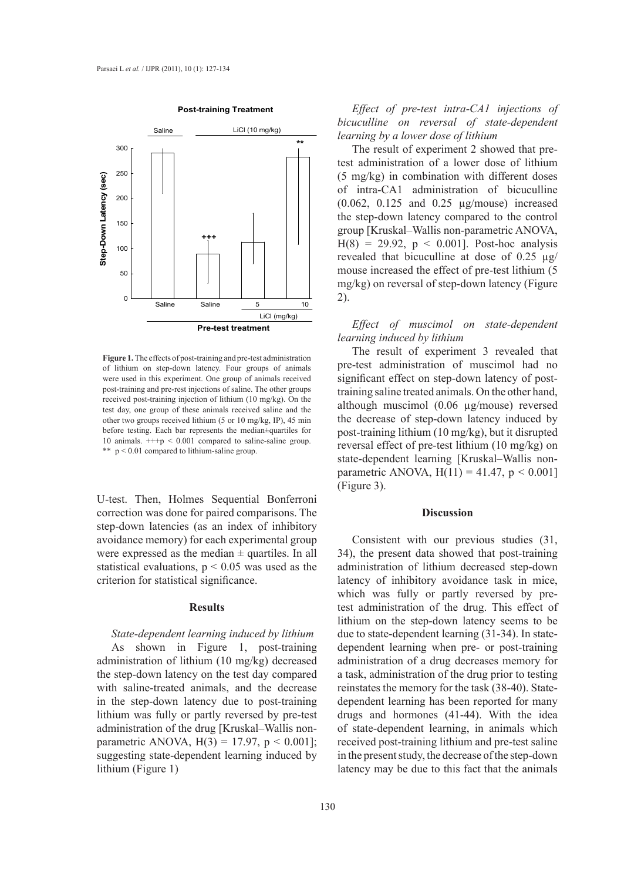

**Figure 1**  received post-training injection of lithium (10 mg/kg). On the **Figure 1.** The effects of post-training and pre-test administration of lithium on step-down latency. Four groups of animals were used in this experiment. One group of animals received post-training and pre-rest injections of saline. The other groups test day, one group of these animals received saline and the other two groups received lithium (5 or 10 mg/kg, IP), 45 min before testing. Each bar represents the median±quartiles for 10 animals.  $++p < 0.001$  compared to saline-saline group. \*\* p < 0.01 compared to lithium-saline group.

U-test. Then, Holmes Sequential Bonferroni correction was done for paired comparisons. The step-down latencies (as an index of inhibitory avoidance memory) for each experimental group were expressed as the median  $\pm$  quartiles. In all statistical evaluations,  $p < 0.05$  was used as the criterion for statistical significance.

## **Results**

## *State-dependent learning induced by lithium*

As shown in Figure 1, post-training administration of lithium (10 mg/kg) decreased the step-down latency on the test day compared with saline-treated animals, and the decrease in the step-down latency due to post-training lithium was fully or partly reversed by pre-test administration of the drug [Kruskal–Wallis nonparametric ANOVA,  $H(3) = 17.97$ ,  $p < 0.001$ ]; suggesting state-dependent learning induced by lithium (Figure 1)

*Effect of pre-test intra-CA1 injections of bicuculline on reversal of state-dependent learning by a lower dose of lithium*

The result of experiment 2 showed that pretest administration of a lower dose of lithium (5 mg/kg) in combination with different doses of intra-CA1 administration of bicuculline (0.062, 0.125 and 0.25 µg/mouse) increased the step-down latency compared to the control group [Kruskal–Wallis non-parametric ANOVA,  $H(8) = 29.92$ ,  $p < 0.001$ ]. Post-hoc analysis revealed that bicuculline at dose of 0.25 µg/ mouse increased the effect of pre-test lithium (5 mg/kg) on reversal of step-down latency (Figure 2).

# *Effect of muscimol on state-dependent learning induced by lithium*

The result of experiment 3 revealed that pre-test administration of muscimol had no significant effect on step-down latency of posttraining saline treated animals. On the other hand, although muscimol (0.06 µg/mouse) reversed the decrease of step-down latency induced by post-training lithium (10 mg/kg), but it disrupted reversal effect of pre-test lithium (10 mg/kg) on state-dependent learning [Kruskal–Wallis nonparametric ANOVA,  $H(11) = 41.47$ ,  $p < 0.001$ (Figure 3).

#### **Discussion**

Consistent with our previous studies (31, 34), the present data showed that post-training administration of lithium decreased step-down latency of inhibitory avoidance task in mice, which was fully or partly reversed by pretest administration of the drug. This effect of lithium on the step-down latency seems to be due to state-dependent learning (31-34). In statedependent learning when pre- or post-training administration of a drug decreases memory for a task, administration of the drug prior to testing reinstates the memory for the task (38-40). Statedependent learning has been reported for many drugs and hormones (41-44). With the idea of state-dependent learning, in animals which received post-training lithium and pre-test saline in the present study, the decrease of the step-down latency may be due to this fact that the animals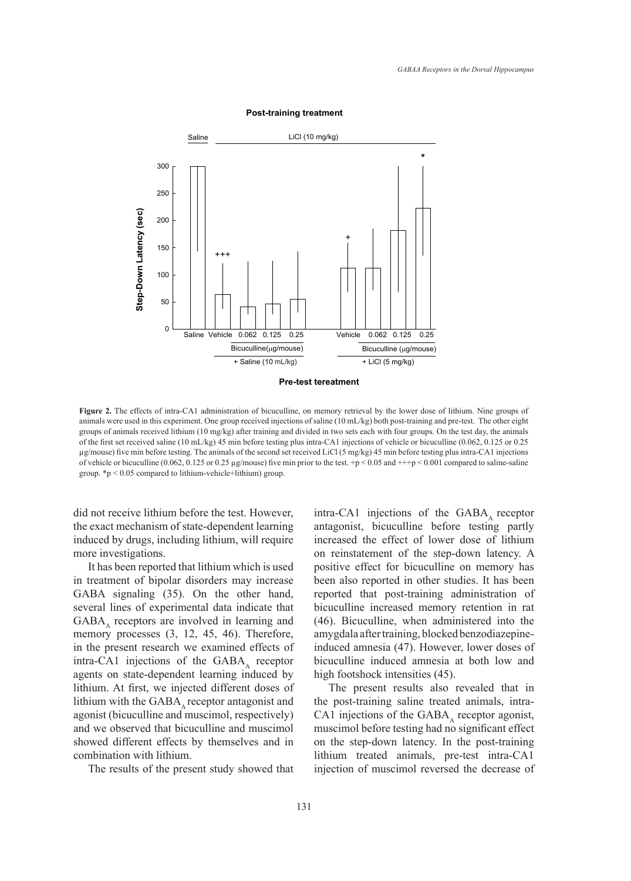

**Post-training treatment**

**Pre-test tereatment**

groups of animals received lithium (10 mg/kg) after training and divided in two sets each with four groups. On the test day, the animals  $\frac{1}{2}$ **Figure 2.** The effects of intra-CA1 administration of bicuculline, on memory retrieval by the lower dose of lithium. Nine groups of animals were used in this experiment. One group received injections of saline (10 mL/kg) both post-training and pre-test. The other eight of the first set received saline (10 mL/kg) 45 min before testing plus intra-CA1 injections of vehicle or bicuculline (0.062, 0.125 or 0.25 µg/mouse) five min before testing. The animals of the second set received LiCl (5 mg/kg) 45 min before testing plus intra-CA1 injections of vehicle or bicuculline (0.062, 0.125 or 0.25 µg/mouse) five min prior to the test. +p < 0.05 and +++p < 0.001 compared to saline-saline group.  $*p < 0.05$  compared to lithium-vehicle+lithium) group.

did not receive lithium before the test. However, the exact mechanism of state-dependent learning induced by drugs, including lithium, will require more investigations.

It has been reported that lithium which is used in treatment of bipolar disorders may increase GABA signaling (35). On the other hand, several lines of experimental data indicate that  $GABA<sub>A</sub>$  receptors are involved in learning and memory processes (3, 12, 45, 46). Therefore, in the present research we examined effects of intra-CA1 injections of the  $GABA<sub>A</sub>$  receptor agents on state-dependent learning induced by lithium. At first, we injected different doses of lithium with the  $GABA$  receptor antagonist and agonist (bicuculline and muscimol, respectively) and we observed that bicuculline and muscimol showed different effects by themselves and in combination with lithium.

The results of the present study showed that

intra-CA1 injections of the  $GABA<sub>A</sub>$  receptor antagonist, bicuculline before testing partly increased the effect of lower dose of lithium on reinstatement of the step-down latency. A positive effect for bicuculline on memory has been also reported in other studies. It has been reported that post-training administration of bicuculline increased memory retention in rat (46). Bicuculline, when administered into the amygdala after training, blocked benzodiazepineinduced amnesia (47). However, lower doses of bicuculline induced amnesia at both low and high footshock intensities (45).

The present results also revealed that in the post-training saline treated animals, intra-CA1 injections of the GABA, receptor agonist, muscimol before testing had no significant effect on the step-down latency. In the post-training lithium treated animals, pre-test intra-CA1 injection of muscimol reversed the decrease of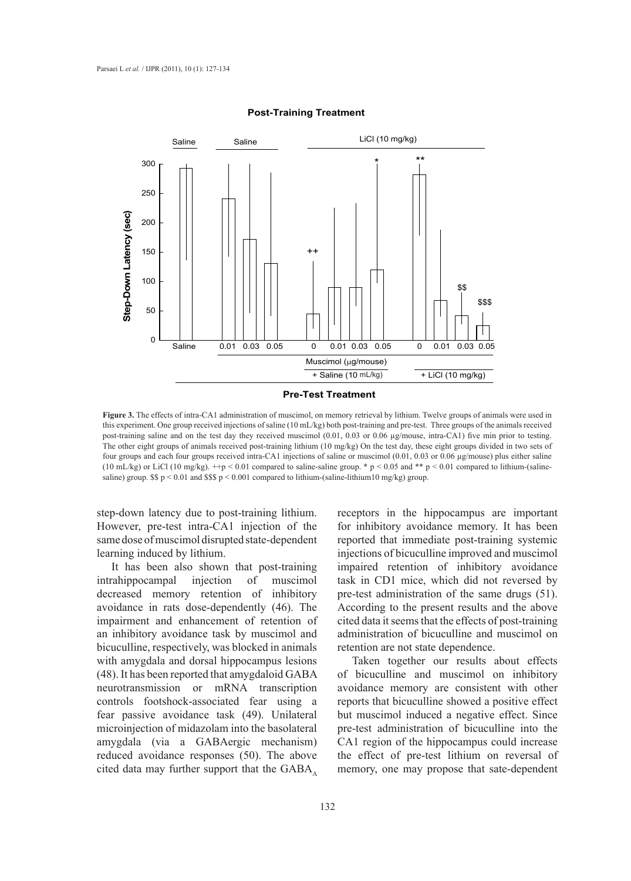

## **Post-Training Treatment**

**Pre-Test Treatment**

**Figure 3**  saline) group. \$\$ p < 0.01 and \$\$\$ p < 0.001 compared to lithium-(saline-lithium10 mg/kg) group. **Figure 3.** The effects of intra-CA1 administration of muscimol, on memory retrieval by lithium. Twelve groups of animals were used in this experiment. One group received injections of saline (10 mL/kg) both post-training and pre-test. Three groups of the animals received post-training saline and on the test day they received muscimol (0.01, 0.03 or 0.06 µg/mouse, intra-CA1) five min prior to testing. The other eight groups of animals received post-training lithium (10 mg/kg) On the test day, these eight groups divided in two sets of four groups and each four groups received intra-CA1 injections of saline or muscimol (0.01, 0.03 or 0.06 µg/mouse) plus either saline (10 mL/kg) or LiCl (10 mg/kg).  $+p < 0.01$  compared to saline-saline group. \* p < 0.05 and \*\* p < 0.01 compared to lithium-(saline-

step-down latency due to post-training lithium. However, pre-test intra-CA1 injection of the same dose of muscimol disrupted state-dependent learning induced by lithium.

It has been also shown that post-training intrahippocampal injection of muscimol decreased memory retention of inhibitory avoidance in rats dose-dependently (46). The impairment and enhancement of retention of an inhibitory avoidance task by muscimol and bicuculline, respectively, was blocked in animals with amygdala and dorsal hippocampus lesions (48). It has been reported that amygdaloid GABA neurotransmission or mRNA transcription controls footshock-associated fear using a fear passive avoidance task (49). Unilateral microinjection of midazolam into the basolateral amygdala (via a GABAergic mechanism) reduced avoidance responses (50). The above cited data may further support that the  $GABA$ .

receptors in the hippocampus are important for inhibitory avoidance memory. It has been reported that immediate post-training systemic injections of bicuculline improved and muscimol impaired retention of inhibitory avoidance task in CD1 mice, which did not reversed by pre-test administration of the same drugs (51). According to the present results and the above cited data it seems that the effects of post-training administration of bicuculline and muscimol on retention are not state dependence.

Taken together our results about effects of bicuculline and muscimol on inhibitory avoidance memory are consistent with other reports that bicuculline showed a positive effect but muscimol induced a negative effect. Since pre-test administration of bicuculline into the CA1 region of the hippocampus could increase the effect of pre-test lithium on reversal of memory, one may propose that sate-dependent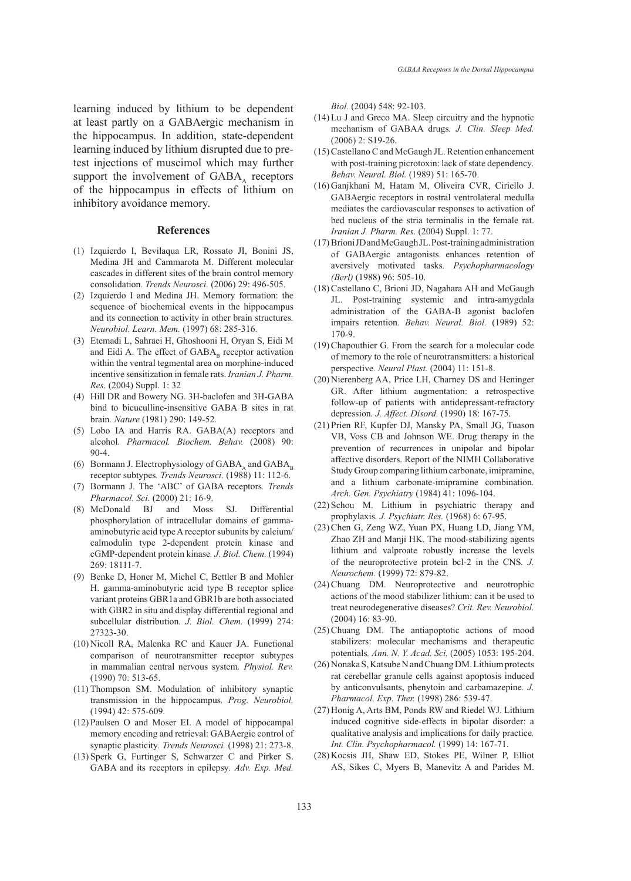learning induced by lithium to be dependent at least partly on a GABAergic mechanism in the hippocampus. In addition, state-dependent learning induced by lithium disrupted due to pretest injections of muscimol which may further support the involvement of  $GABA<sub>A</sub>$  receptors of the hippocampus in effects of lithium on inhibitory avoidance memory.

#### **References**

- Izquierdo I, Bevilaqua LR, Rossato JI, Bonini JS, (1) Medina JH and Cammarota M. Different molecular cascades in different sites of the brain control memory consolidation*. Trends Neurosci.* (2006) 29: 496-505.
- (2) Izquierdo I and Medina JH. Memory formation: the sequence of biochemical events in the hippocampus and its connection to activity in other brain structures*. Neurobiol. Learn. Mem.* (1997) 68: 285-316.
- Etemadi L, Sahraei H, Ghoshooni H, Oryan S, Eidi M (3) and Eidi A. The effect of  $\mathbf{GABA}_\mathtt{B}$  receptor activation within the ventral tegmental area on morphine-induced incentive sensitization in female rats. *Iranian J. Pharm. Res.* (2004) Suppl. 1: 32
- Hill DR and Bowery NG. 3H-baclofen and 3H-GABA (4) bind to bicuculline-insensitive GABA B sites in rat brain*. Nature* (1981) 290: 149-52.
- Lobo IA and Harris RA. GABA(A) receptors and (5) alcohol*. Pharmacol. Biochem. Behav.* (2008) 90: 90-4.
- (6) Bormann J. Electrophysiology of  $GABA_A$  and  $GABA_B$ receptor subtypes*. Trends Neurosci.* (1988) 11: 112-6.
- Bormann J. The 'ABC' of GABA receptors*. Trends*  (7) *Pharmacol. Sci.* (2000) 21: 16-9.
- McDonald BJ and Moss SJ. Differential (8) phosphorylation of intracellular domains of gammaaminobutyric acid type A receptor subunits by calcium/ calmodulin type 2-dependent protein kinase and cGMP-dependent protein kinase*. J. Biol. Chem.* (1994) 269: 18111-7.
- (9) Benke D, Honer M, Michel C, Bettler B and Mohler H. gamma-aminobutyric acid type B receptor splice variant proteins GBR1a and GBR1b are both associated with GBR2 in situ and display differential regional and subcellular distribution*. J. Biol. Chem.* (1999) 274: 27323-30.
- (10) Nicoll RA, Malenka RC and Kauer JA. Functional comparison of neurotransmitter receptor subtypes in mammalian central nervous system*. Physiol. Rev.* (1990) 70: 513-65.
- (11) Thompson SM. Modulation of inhibitory synaptic transmission in the hippocampus*. Prog. Neurobiol.* (1994) 42: 575-609.
- (12) Paulsen O and Moser EI. A model of hippocampal memory encoding and retrieval: GABAergic control of synaptic plasticity*. Trends Neurosci.* (1998) 21: 273-8.
- $(13)$  Sperk G, Furtinger S, Schwarzer C and Pirker S. GABA and its receptors in epilepsy*. Adv. Exp. Med.*

*Biol.* (2004) 548: 92-103.

- $(14)$  Lu J and Greco MA. Sleep circuitry and the hypnotic mechanism of GABAA drugs*. J. Clin. Sleep Med.* (2006) 2: S19-26.
- (15) Castellano C and McGaugh JL. Retention enhancement with post-training picrotoxin: lack of state dependency*. Behav. Neural. Biol.* (1989) 51: 165-70.
- Ganjkhani M, Hatam M, Oliveira CVR, Ciriello J. (16) GABAergic receptors in rostral ventrolateral medulla mediates the cardiovascular responses to activation of bed nucleus of the stria terminalis in the female rat. *Iranian J. Pharm. Res.* (2004) Suppl. 1: 77.
- Brioni JD and McGaugh JL. Post-training administration (17) of GABAergic antagonists enhances retention of aversively motivated tasks*. Psychopharmacology (Berl)* (1988) 96: 505-10.
- (18) Castellano C, Brioni JD, Nagahara AH and McGaugh JL. Post-training systemic and intra-amygdala administration of the GABA-B agonist baclofen impairs retention*. Behav. Neural. Biol.* (1989) 52: 170-9.
- (19) Chapouthier G. From the search for a molecular code of memory to the role of neurotransmitters: a historical perspective*. Neural Plast.* (2004) 11: 151-8.
- (20) Nierenberg AA, Price LH, Charney DS and Heninger GR. After lithium augmentation: a retrospective follow-up of patients with antidepressant-refractory depression*. J. Affect. Disord.* (1990) 18: 167-75.
- (21) Prien RF, Kupfer DJ, Mansky PA, Small JG, Tuason VB, Voss CB and Johnson WE. Drug therapy in the prevention of recurrences in unipolar and bipolar affective disorders. Report of the NIMH Collaborative Study Group comparing lithium carbonate, imipramine, and a lithium carbonate-imipramine combination*. Arch. Gen. Psychiatry* (1984) 41: 1096-104.
- $(22)$  Schou M. Lithium in psychiatric therapy and prophylaxis*. J. Psychiatr. Res.* (1968) 6: 67-95.
- (23) Chen G, Zeng WZ, Yuan PX, Huang LD, Jiang YM, Zhao ZH and Manji HK. The mood-stabilizing agents lithium and valproate robustly increase the levels of the neuroprotective protein bcl-2 in the CNS*. J. Neurochem.* (1999) 72: 879-82.
- (24) Chuang DM. Neuroprotective and neurotrophic actions of the mood stabilizer lithium: can it be used to treat neurodegenerative diseases? *Crit. Rev. Neurobiol.* (2004) 16: 83-90.
- (25) Chuang DM. The antiapoptotic actions of mood stabilizers: molecular mechanisms and therapeutic potentials*. Ann. N. Y. Acad. Sci.* (2005) 1053: 195-204.
- (26) Nonaka S, Katsube N and Chuang DM. Lithium protects rat cerebellar granule cells against apoptosis induced by anticonvulsants, phenytoin and carbamazepine*. J. Pharmacol. Exp. Ther.* (1998) 286: 539-47.
- (27) Honig A, Arts BM, Ponds RW and Riedel WJ. Lithium induced cognitive side-effects in bipolar disorder: a qualitative analysis and implications for daily practice*. Int. Clin. Psychopharmacol.* (1999) 14: 167-71.
- (28) Kocsis JH, Shaw ED, Stokes PE, Wilner P, Elliot AS, Sikes C, Myers B, Manevitz A and Parides M.